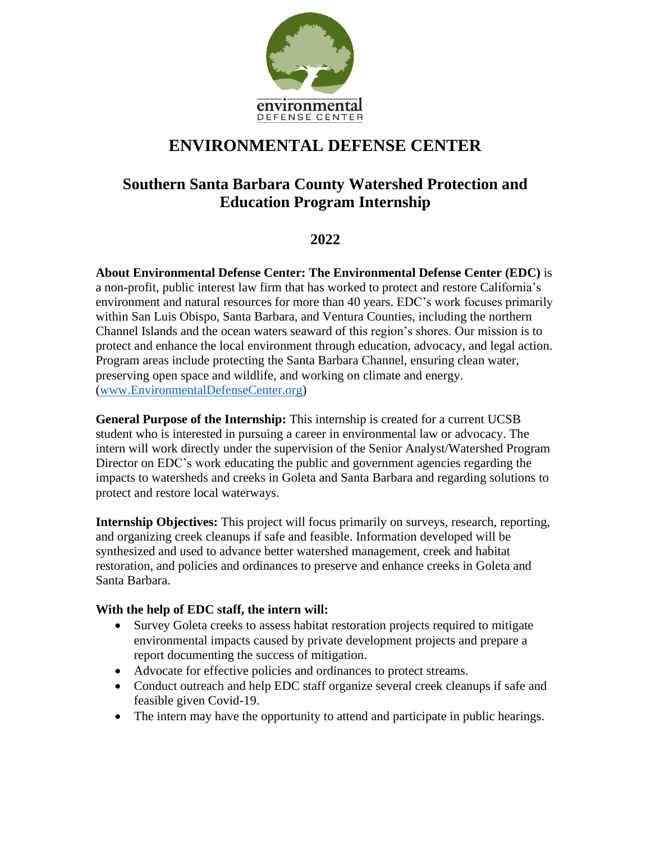

# **ENVIRONMENTAL DEFENSE CENTER**

## **Southern Santa Barbara County Watershed Protection and Education Program Internship**

## **2022**

**About Environmental Defense Center: The Environmental Defense Center (EDC)** is a non-profit, public interest law firm that has worked to protect and restore California's environment and natural resources for more than 40 years. EDC's work focuses primarily within San Luis Obispo, Santa Barbara, and Ventura Counties, including the northern Channel Islands and the ocean waters seaward of this region's shores. Our mission is to protect and enhance the local environment through education, advocacy, and legal action. Program areas include protecting the Santa Barbara Channel, ensuring clean water, preserving open space and wildlife, and working on climate and energy. [\(www.EnvironmentalDefenseCenter.org\)](http://www.environmentaldefensecenter.org/)

**General Purpose of the Internship:** This internship is created for a current UCSB student who is interested in pursuing a career in environmental law or advocacy. The intern will work directly under the supervision of the Senior Analyst/Watershed Program Director on EDC's work educating the public and government agencies regarding the impacts to watersheds and creeks in Goleta and Santa Barbara and regarding solutions to protect and restore local waterways.

**Internship Objectives:** This project will focus primarily on surveys, research, reporting, and organizing creek cleanups if safe and feasible. Information developed will be synthesized and used to advance better watershed management, creek and habitat restoration, and policies and ordinances to preserve and enhance creeks in Goleta and Santa Barbara.

#### **With the help of EDC staff, the intern will:**

- Survey Goleta creeks to assess habitat restoration projects required to mitigate environmental impacts caused by private development projects and prepare a report documenting the success of mitigation.
- Advocate for effective policies and ordinances to protect streams.
- Conduct outreach and help EDC staff organize several creek cleanups if safe and feasible given Covid-19.
- The intern may have the opportunity to attend and participate in public hearings.